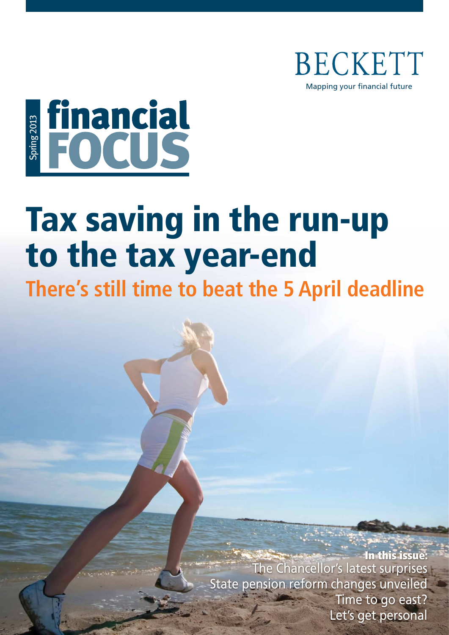

# Educial

# Tax saving in the run-up to the tax year-end

**There's still time to beat the 5 April deadline**

In this issue: The Chancellor's latest surprises State pension reform changes unveiled Time to go east? Let's get personal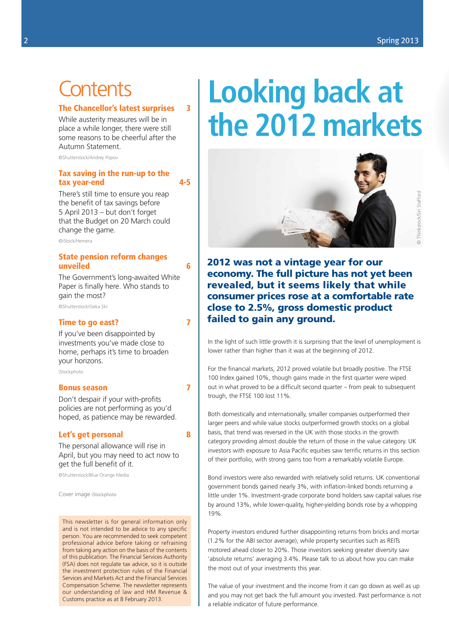### **Contents**

### The Chancellor's latest surprises 3

While austerity measures will be in place a while longer, there were still some reasons to be cheerful after the Autumn Statement.

©Shutterstock/Andrey Popov

### Tax saving in the run-up to the tax year-end 4-5

There's still time to ensure you reap the benefit of tax savings before 5 April 2013 – but don't forget that the Budget on 20 March could change the game.

©iStock/Hemera

### State pension reform changes unveiled 6

The Government's long-awaited White Paper is finally here. Who stands to gain the most?

©Shutterstock/Geka Skr

### Time to go east? 7

If you've been disappointed by investments you've made close to home, perhaps it's time to broaden your horizons.

iStockphoto

### Bonus season 7

Don't despair if your with-profits policies are not performing as you'd hoped, as patience may be rewarded.

### Let's get personal and 8

The personal allowance will rise in April, but you may need to act now to get the full benefit of it.

©Shutterstock/Blue Orange Media

Cover image iStockphoto

This newsletter is for general information only and is not intended to be advice to any specific person. You are recommended to seek competent professional advice before taking or refraining from taking any action on the basis of the contents of this publication. The Financial Services Authority (FSA) does not regulate tax advice, so it is outside the investment protection rules of the Financial Services and Markets Act and the Financial Services Compensation Scheme. The newsletter represents our understanding of law and HM Revenue & Customs practice as at 8 February 2013.

# **Looking back at the 2012 markets**



2012 was not a vintage year for our economy. The full picture has not yet been revealed, but it seems likely that while consumer prices rose at a comfortable rate close to 2.5%, gross domestic product failed to gain any ground.

In the light of such little growth it is surprising that the level of unemployment is lower rather than higher than it was at the beginning of 2012.

For the financial markets, 2012 proved volatile but broadly positive. The FTSE 100 Index gained 10%, though gains made in the first quarter were wiped out in what proved to be a difficult second quarter – from peak to subsequent trough, the FTSE 100 lost 11%.

Both domestically and internationally, smaller companies outperformed their larger peers and while value stocks outperformed growth stocks on a global basis, that trend was reversed in the UK with those stocks in the growth category providing almost double the return of those in the value category. UK investors with exposure to Asia Pacific equities saw terrific returns in this section of their portfolio, with strong gains too from a remarkably volatile Europe.

Bond investors were also rewarded with relatively solid returns. UK conventional government bonds gained nearly 3%, with inflation-linked bonds returning a little under 1%. Investment-grade corporate bond holders saw capital values rise by around 13%, while lower-quality, higher-yielding bonds rose by a whopping 19%.

Property investors endured further disappointing returns from bricks and mortar (1.2% for the ABI sector average), while property securities such as REITs motored ahead closer to 20%. Those investors seeking greater diversity saw 'absolute returns' averaging 3.4%. Please talk to us about how you can make the most out of your investments this year.

The value of your investment and the income from it can go down as well as up and you may not get back the full amount you invested. Past performance is not a reliable indicator of future performance.

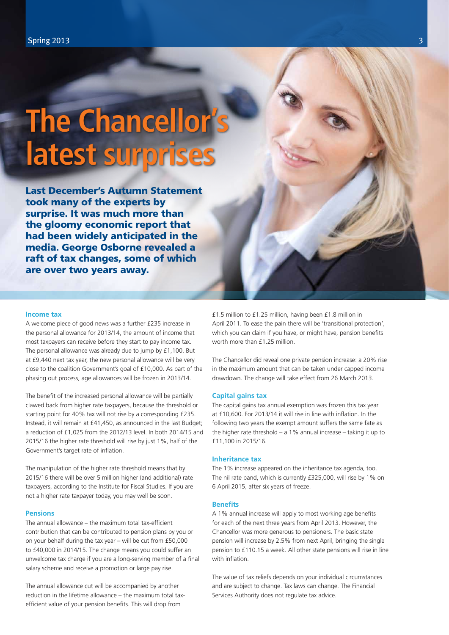# **The Chancellor's latest surprises**

Last December's Autumn Statement took many of the experts by surprise. It was much more than the gloomy economic report that had been widely anticipated in the media. George Osborne revealed a raft of tax changes, some of which are over two years away.

### **Income tax**

A welcome piece of good news was a further £235 increase in the personal allowance for 2013/14, the amount of income that most taxpayers can receive before they start to pay income tax. The personal allowance was already due to jump by £1,100. But at £9,440 next tax year, the new personal allowance will be very close to the coalition Government's goal of £10,000. As part of the phasing out process, age allowances will be frozen in 2013/14.

The benefit of the increased personal allowance will be partially clawed back from higher rate taxpayers, because the threshold or starting point for 40% tax will not rise by a corresponding £235. Instead, it will remain at £41,450, as announced in the last Budget; a reduction of £1,025 from the 2012/13 level. In both 2014/15 and 2015/16 the higher rate threshold will rise by just 1%, half of the Government's target rate of inflation.

The manipulation of the higher rate threshold means that by 2015/16 there will be over 5 million higher (and additional) rate taxpayers, according to the Institute for Fiscal Studies. If you are not a higher rate taxpayer today, you may well be soon.

### **Pensions**

The annual allowance – the maximum total tax-efficient contribution that can be contributed to pension plans by you or on your behalf during the tax year – will be cut from £50,000 to £40,000 in 2014/15. The change means you could suffer an unwelcome tax charge if you are a long-serving member of a final salary scheme and receive a promotion or large pay rise.

The annual allowance cut will be accompanied by another reduction in the lifetime allowance – the maximum total taxefficient value of your pension benefits. This will drop from

£1.5 million to £1.25 million, having been £1.8 million in April 2011. To ease the pain there will be 'transitional protection', which you can claim if you have, or might have, pension benefits worth more than £1.25 million

The Chancellor did reveal one private pension increase: a 20% rise in the maximum amount that can be taken under capped income drawdown. The change will take effect from 26 March 2013.

### **Capital gains tax**

The capital gains tax annual exemption was frozen this tax year at £10,600. For 2013/14 it will rise in line with inflation. In the following two years the exempt amount suffers the same fate as the higher rate threshold – a 1% annual increase – taking it up to £11,100 in 2015/16.

### **Inheritance tax**

The 1% increase appeared on the inheritance tax agenda, too. The nil rate band, which is currently £325,000, will rise by 1% on 6 April 2015, after six years of freeze.

### **Benefits**

A 1% annual increase will apply to most working age benefits for each of the next three years from April 2013. However, the Chancellor was more generous to pensioners. The basic state pension will increase by 2.5% from next April, bringing the single pension to £110.15 a week. All other state pensions will rise in line with inflation.

The value of tax reliefs depends on your individual circumstances and are subject to change. Tax laws can change. The Financial Services Authority does not regulate tax advice.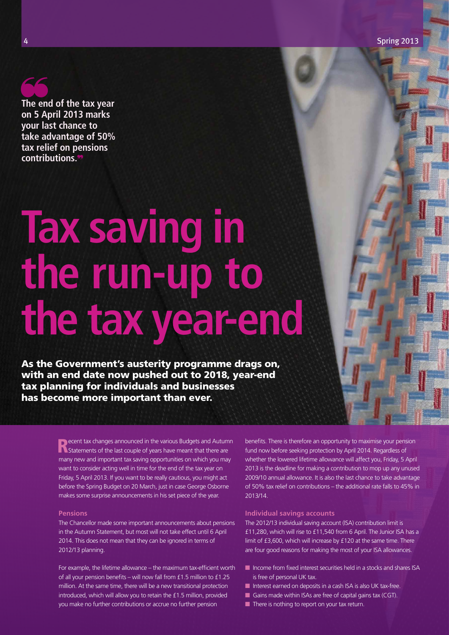**The end of the tax year on 5 April 2013 marks your last chance to take advantage of 50% tax relief on pensions contributions.**

# **Tax saving in the run-up to the tax year-end**

As the Government's austerity programme drags on, with an end date now pushed out to 2018, year-end tax planning for individuals and businesses has become more important than ever.

> **Recent tax changes announced in the various Budgets and Autumn Statements of the last couple of years have meant that there are** many new and important tax saving opportunities on which you may want to consider acting well in time for the end of the tax year on Friday, 5 April 2013. If you want to be really cautious, you might act before the Spring Budget on 20 March, just in case George Osborne makes some surprise announcements in his set piece of the year.

### **Pensions**

The Chancellor made some important announcements about pensions in the Autumn Statement, but most will not take effect until 6 April 2014. This does not mean that they can be ignored in terms of 2012/13 planning.

For example, the lifetime allowance – the maximum tax-efficient worth of all your pension benefits – will now fall from £1.5 million to £1.25 million. At the same time, there will be a new transitional protection introduced, which will allow you to retain the £1.5 million, provided you make no further contributions or accrue no further pension

benefits. There is therefore an opportunity to maximise your pension fund now before seeking protection by April 2014. Regardless of whether the lowered lifetime allowance will affect you, Friday, 5 April 2013 is the deadline for making a contribution to mop up any unused 2009/10 annual allowance. It is also the last chance to take advantage of 50% tax relief on contributions – the additional rate falls to 45% in 2013/14.

### **Individual savings accounts**

The 2012/13 individual saving account (ISA) contribution limit is £11,280, which will rise to £11,540 from 6 April. The Junior ISA has a limit of £3,600, which will increase by £120 at the same time. There are four good reasons for making the most of your ISA allowances.

- $\blacksquare$  Income from fixed interest securities held in a stocks and shares ISA is free of personal UK tax.
- n Interest earned on deposits in a cash ISA is also UK tax-free.
- Gains made within ISAs are free of capital gains tax  $(CGT)$ .
- $\blacksquare$  There is nothing to report on your tax return.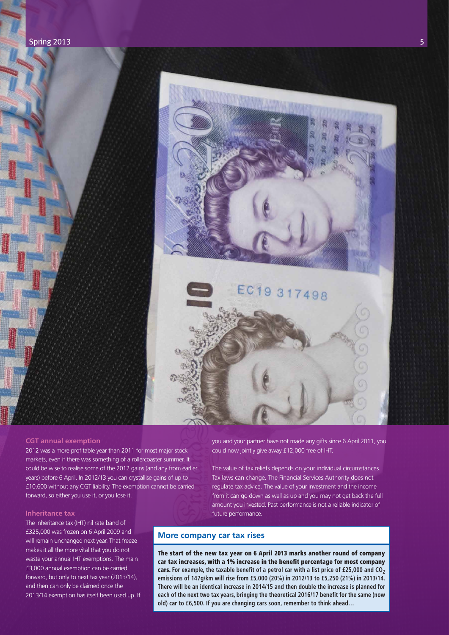

### **CGT annual exemption**

2012 was a more profitable year than 2011 for most major stock markets, even if there was something of a rollercoaster summer. It could be wise to realise some of the 2012 gains (and any from earlier years) before 6 April. In 2012/13 you can crystallise gains of up to £10,600 without any CGT liability. The exemption cannot be carried forward, so either you use it, or you lose it.

### **Inheritance tax**

The inheritance tax (IHT) nil rate band of £325,000 was frozen on 6 April 2009 and will remain unchanged next year. That freeze makes it all the more vital that you do not waste your annual IHT exemptions. The main £3,000 annual exemption can be carried forward, but only to next tax year (2013/14), and then can only be claimed once the 2013/14 exemption has itself been used up. If you and your partner have not made any gifts since 6 April 2011, you could now jointly give away £12,000 free of IHT.

The value of tax reliefs depends on your individual circumstances. Tax laws can change. The Financial Services Authority does not regulate tax advice. The value of your investment and the income from it can go down as well as up and you may not get back the full amount you invested. Past performance is not a reliable indicator of future performance.

### **More company car tax rises**

The start of the new tax year on 6 April 2013 marks another round of company car tax increases, with a 1% increase in the benefit percentage for most company cars. For example, the taxable benefit of a petrol car with a list price of £25,000 and CO<sub>2</sub> **emissions of 147g/km will rise from £5,000 (20%) in 2012/13 to £5,250 (21%) in 2013/14. There will be an identical increase in 2014/15 and then double the increase is planned for each of the next two tax years, bringing the theoretical 2016/17 benefit for the same (now old) car to £6,500. If you are changing cars soon, remember to think ahead…**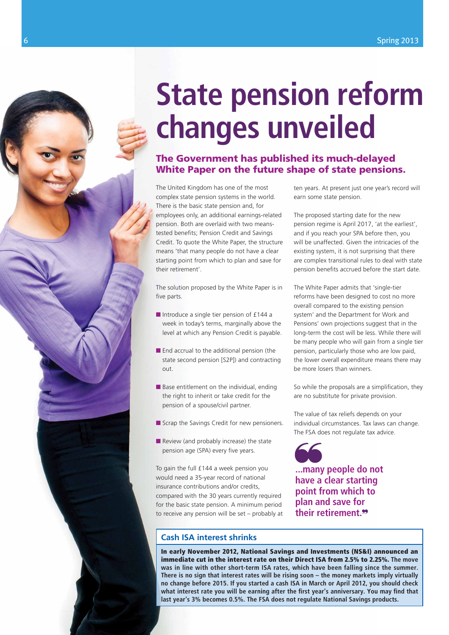# **State pension reform changes unveiled**

### The Government has published its much-delayed White Paper on the future shape of state pensions.

The United Kingdom has one of the most complex state pension systems in the world. There is the basic state pension and, for employees only, an additional earnings-related pension. Both are overlaid with two meanstested benefits; Pension Credit and Savings Credit. To quote the White Paper, the structure means 'that many people do not have a clear starting point from which to plan and save for their retirement'.

The solution proposed by the White Paper is in five parts.

- $\blacksquare$  Introduce a single tier pension of £144 a week in today's terms, marginally above the level at which any Pension Credit is payable.
- $\blacksquare$  End accrual to the additional pension (the state second pension [S2P]) and contracting out.
- $\blacksquare$  Base entitlement on the individual, ending the right to inherit or take credit for the pension of a spouse/civil partner.
- $\blacksquare$  Scrap the Savings Credit for new pensioners.
- $\blacksquare$  Review (and probably increase) the state pension age (SPA) every five years.

To gain the full £144 a week pension you would need a 35-year record of national insurance contributions and/or credits, compared with the 30 years currently required for the basic state pension. A minimum period to receive any pension will be set – probably at

### **Cash ISA interest shrinks**

In early November 2012, National Savings and Investments (NS&I) announced an immediate cut in the interest rate on their Direct ISA from 2.5% to 2.25%. **The move was in line with other short-term ISA rates, which have been falling since the summer. There is no sign that interest rates will be rising soon – the money markets imply virtually no change before 2015. If you started a cash ISA in March or April 2012, you should check what interest rate you will be earning after the first year's anniversary. You may find that last year's 3% becomes 0.5%. The FSA does not regulate National Savings products.**

ten years. At present just one year's record will earn some state pension.

The proposed starting date for the new pension regime is April 2017, 'at the earliest', and if you reach your SPA before then, you will be unaffected. Given the intricacies of the existing system, it is not surprising that there are complex transitional rules to deal with state pension benefits accrued before the start date.

The White Paper admits that 'single-tier reforms have been designed to cost no more overall compared to the existing pension system' and the Department for Work and Pensions' own projections suggest that in the long-term the cost will be less. While there will be many people who will gain from a single tier pension, particularly those who are low paid, the lower overall expenditure means there may be more losers than winners.

So while the proposals are a simplification, they are no substitute for private provision.

The value of tax reliefs depends on your individual circumstances. Tax laws can change. The FSA does not regulate tax advice.

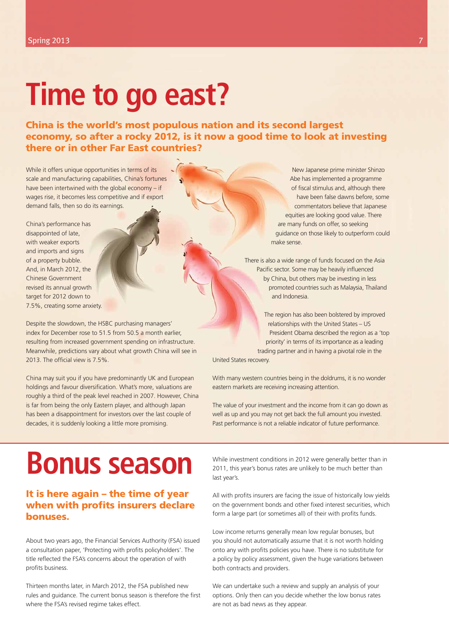## **Time to go east?**

China is the world's most populous nation and its second largest economy, so after a rocky 2012, is it now a good time to look at investing there or in other Far East countries?

While it offers unique opportunities in terms of its scale and manufacturing capabilities, China's fortunes have been intertwined with the global economy – if wages rise, it becomes less competitive and if export demand falls, then so do its earnings.

China's performance has disappointed of late, with weaker exports and imports and signs of a property bubble. And, in March 2012, the Chinese Government revised its annual growth target for 2012 down to 7.5%, creating some anxiety.

Despite the slowdown, the HSBC purchasing managers' index for December rose to 51.5 from 50.5 a month earlier, resulting from increased government spending on infrastructure. Meanwhile, predictions vary about what growth China will see in 2013. The official view is 7.5%.

China may suit you if you have predominantly UK and European holdings and favour diversification. What's more, valuations are roughly a third of the peak level reached in 2007. However, China is far from being the only Eastern player, and although Japan has been a disappointment for investors over the last couple of decades, it is suddenly looking a little more promising.

New Japanese prime minister Shinzo Abe has implemented a programme of fiscal stimulus and, although there have been false dawns before, some commentators believe that Japanese equities are looking good value. There are many funds on offer, so seeking guidance on those likely to outperform could make sense.

There is also a wide range of funds focused on the Asia Pacific sector. Some may be heavily influenced by China, but others may be investing in less promoted countries such as Malaysia, Thailand and Indonesia.

The region has also been bolstered by improved relationships with the United States – US President Obama described the region as a 'top priority' in terms of its importance as a leading trading partner and in having a pivotal role in the

United States recovery.

With many western countries being in the doldrums, it is no wonder eastern markets are receiving increasing attention.

The value of your investment and the income from it can go down as well as up and you may not get back the full amount you invested. Past performance is not a reliable indicator of future performance.

### **Bonus season**

### It is here again – the time of year when with profits insurers declare bonuses.

About two years ago, the Financial Services Authority (FSA) issued a consultation paper, 'Protecting with profits policyholders'. The title reflected the FSA's concerns about the operation of with profits business.

Thirteen months later, in March 2012, the FSA published new rules and guidance. The current bonus season is therefore the first where the FSA's revised regime takes effect.

While investment conditions in 2012 were generally better than in 2011, this year's bonus rates are unlikely to be much better than last year's.

All with profits insurers are facing the issue of historically low yields on the government bonds and other fixed interest securities, which form a large part (or sometimes all) of their with profits funds.

Low income returns generally mean low regular bonuses, but you should not automatically assume that it is not worth holding onto any with profits policies you have. There is no substitute for a policy by policy assessment, given the huge variations between both contracts and providers.

We can undertake such a review and supply an analysis of your options. Only then can you decide whether the low bonus rates are not as bad news as they appear.